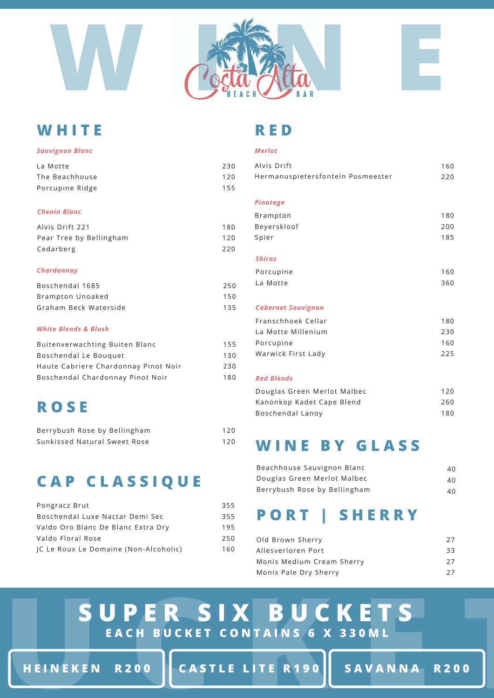

### **W H I T E**

#### *Sauvignon Blanc*

| La Motte        | 230 |
|-----------------|-----|
| The Beachhouse  | 120 |
| Porcupine Ridge | 155 |

#### *Chenin Blanc*

| Alvis Drift 221         | 180 |
|-------------------------|-----|
| Pear Tree by Bellingham | 120 |
| Cedarberg               | 220 |

#### *Chardonnay*

| Boschendal 1685       | 250 |
|-----------------------|-----|
| Brampton Unoaked      | 150 |
| Graham Beck Waterside | 135 |

#### *White Blends & Blush*

| 155 |
|-----|
| 130 |
| 230 |
| 180 |
|     |

### **R O S E**

| Berrybush Rose by Bellingham | 120 |
|------------------------------|-----|
| Sunkissed Natural Sweet Rose | 120 |

# **C A P C L A S S I Q U E**

| Pongracz Brut                         | 355 |
|---------------------------------------|-----|
| Boschendal Luxe Nactar Demi Sec       | 355 |
| Valdo Oro Blanc De Blanc Extra Dry    | 195 |
| Valdo Floral Rose                     | 250 |
| IC Le Roux Le Domaine (Non-Alcoholic) | 160 |

### **R E D**

#### *Merlot*

| Alvis Drift<br>Hermanuspietersfontein Posmeester | 160<br>220 |
|--------------------------------------------------|------------|
| Pinotage                                         |            |
| <b>Brampton</b>                                  | 180        |
| Beyerskloof                                      | 200        |
| Spier                                            | 185        |
|                                                  |            |
| <b>Shiraz</b>                                    |            |
| Porcupine                                        | 160        |
| La Motte                                         | 360        |
|                                                  |            |
| <b>Cabernet Sauvignon</b>                        |            |
| Franschhoek Cellar                               | 180        |
| La Motte Millenium                               | 230        |
| Porcupine                                        | 160        |
| Warwick First Lady                               | 225        |
|                                                  |            |
| <b>Red Blends</b>                                |            |
| Douglas Green Merlot Malbec                      | 120        |
| Kanonkop Kadet Cape Blend                        | 260        |

### **W I N E B Y G L A S S**

Boschendal Lanoy

| Beachhouse Sauvignon Blanc   | 40 |
|------------------------------|----|
| Douglas Green Merlot Malbec  | 40 |
| Berrybush Rose by Bellingham | 40 |

# **P O R T | S H E R R Y**

| Old Brown Sherry          | 27 |
|---------------------------|----|
| Allesverloren Port        | 33 |
| Monis Medium Cream Sherry | 27 |
| Monis Pale Dry Sherry     | 27 |

# SUPER SIX BUCKETS<br>
EACH BUCKET CONTAINS 6 X 330ML<br>
HEINEKEN R200 CASTLE LITE R190 SAVANNA R200 **S U P E R S I X B U C K E T S E A C H B U C K E T C O N T A I N S 6 X 3 3 0 M L**

HEINEKEN R200 | CASTLE LITE R190 | SAVANNA R200

180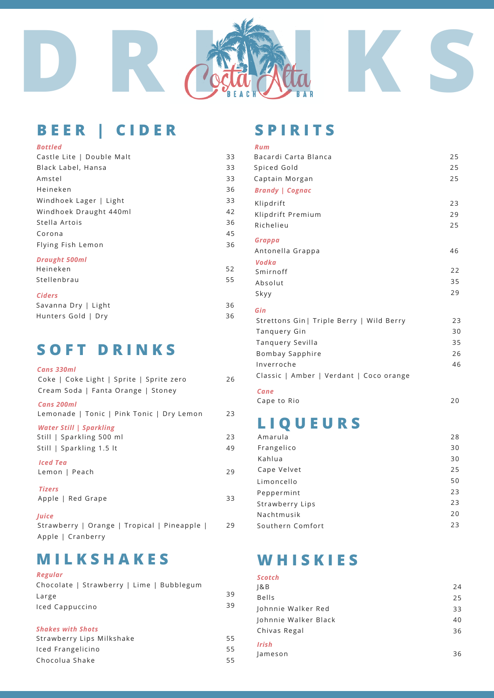

# **B E E R | C I D E R**

#### *Bottled Rum*

| Castle Lite   Double Malt | 33 |
|---------------------------|----|
| Black Label, Hansa        | 33 |
| Amstel                    | 33 |
| Heineken                  | 36 |
| Windhoek Lager   Light    | 33 |
| Windhoek Draught 440ml    | 42 |
| Stella Artois             | 36 |
| Corona                    | 45 |
| Flying Fish Lemon         | 36 |
| <b>Draught 500ml</b>      |    |
| Heineken                  | 52 |
| Stellenbrau               | 55 |
|                           |    |

#### *Ciders*

| 36 |
|----|
| 36 |
|    |

### **S O F T D R I N K S**

| Cans 330ml<br>Coke   Coke Light   Sprite   Sprite zero                      | 26       |
|-----------------------------------------------------------------------------|----------|
| Cream Soda   Fanta Orange   Stoney<br>Cans 200ml                            |          |
| Lemonade   Tonic   Pink Tonic   Dry Lemon<br><b>Water Still   Sparkling</b> | 23       |
| Still   Sparkling 500 ml<br>Still   Sparkling 1.5 lt                        | 23<br>49 |
| <b>Iced Tea</b><br>Lemon   Peach                                            | 29       |
| <b>Tizers</b><br>Apple   Red Grape                                          | 33       |
| <b>Juice</b><br>Strawberry   Orange   Tropical   Pineapple                  | 29       |

Apple | Cranberry

### **M I L K S H A K E S**

#### *Regular*

| Chocolate   Strawberry   Lime   Bubblegum |  |
|-------------------------------------------|--|
| Large                                     |  |
| Iced Cappuccino                           |  |

#### *Shakes with Shots*

| Strawberry Lips Milkshake | 55  |
|---------------------------|-----|
| Iced Frangelicino         | 55  |
| Chocolua Shake            | 55. |

### **S P I R I T S**

| Rum                                       |    |
|-------------------------------------------|----|
| Bacardi Carta Blanca                      | 25 |
| Spiced Gold                               | 25 |
| Captain Morgan                            | 25 |
| <b>Brandy   Cognac</b>                    |    |
| Klipdrift                                 | 23 |
| Klipdrift Premium                         | 29 |
| Richelieu                                 | 25 |
| Grappa                                    |    |
| Antonella Grappa                          | 46 |
| Vodka                                     |    |
| Smirnoff                                  | 22 |
| Absolut                                   | 35 |
| Skyy                                      | 29 |
| Gin                                       |    |
| Strettons Gin   Triple Berry   Wild Berry | 23 |
| Tanguery Gin                              | 30 |
| Tanguery Sevilla                          | 35 |
| Bombay Sapphire                           | 26 |
| Inverroche                                | 46 |
| Classic   Amber   Verdant   Coco orange   |    |
| Cane                                      |    |
|                                           |    |

Cape to Rio 20

# **L I Q U E U R S**

| Amarula          | 28 |
|------------------|----|
| Frangelico       | 30 |
| Kahlua           | 30 |
| Cape Velvet      | 25 |
| Limoncello       | 50 |
| Peppermint       | 23 |
| Strawberry Lips  | 23 |
| Nachtmusik       | 20 |
| Southern Comfort | 23 |
|                  |    |

### **W H I S K I E S**

39 39

| <b>Scotch</b>        |    |
|----------------------|----|
| 8B                   | 24 |
| <b>Bells</b>         | 25 |
| Johnnie Walker Red   | 33 |
| Johnnie Walker Black | 40 |
| Chivas Regal         | 36 |
| <b>Irish</b>         |    |
| Jameson              | 36 |